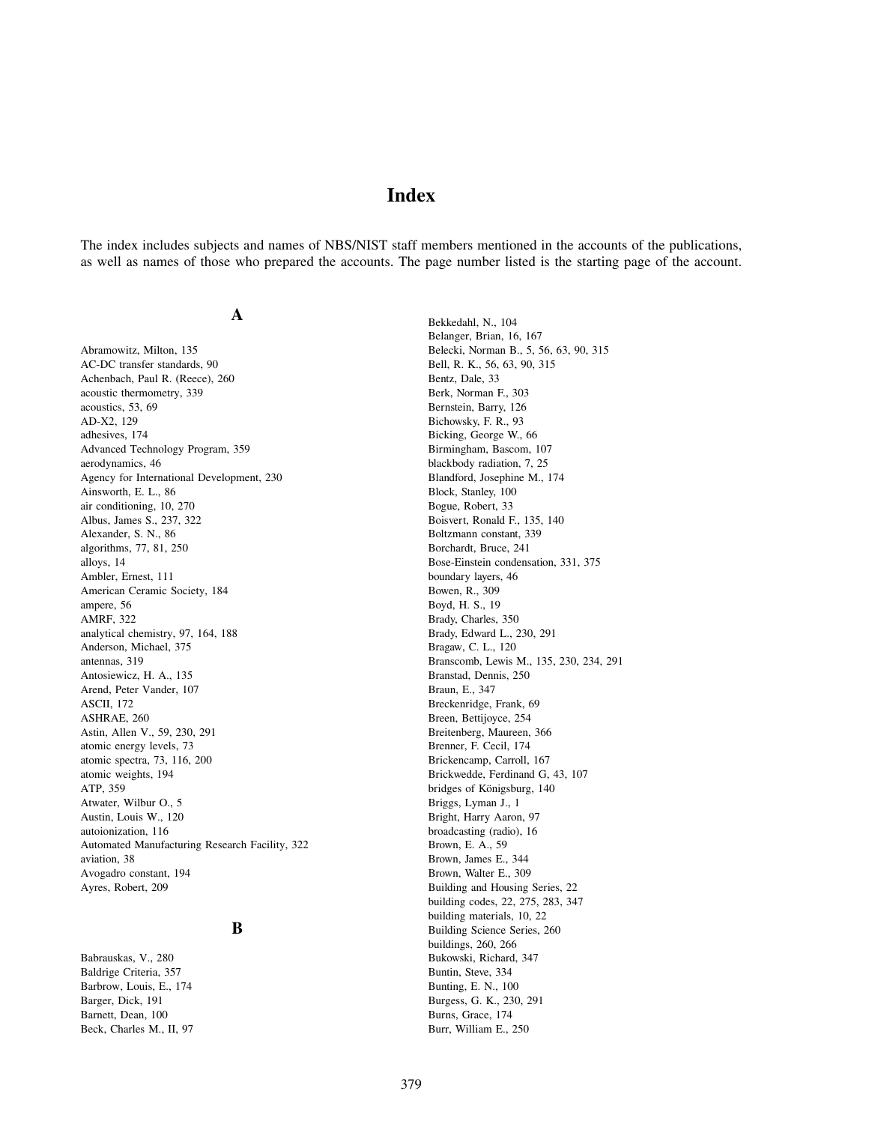# **Index**

The index includes subjects and names of NBS/NIST staff members mentioned in the accounts of the publications, as well as names of those who prepared the accounts. The page number listed is the starting page of the account.

## **A**

Abramowitz, Milton, 135 AC-DC transfer standards, 90 Achenbach, Paul R. (Reece), 260 acoustic thermometry, 339 acoustics, 53, 69 AD-X2, 129 adhesives, 174 Advanced Technology Program, 359 aerodynamics, 46 Agency for International Development, 230 Ainsworth, E. L., 86 air conditioning, 10, 270 Albus, James S., 237, 322 Alexander, S. N., 86 algorithms, 77, 81, 250 alloys, 14 Ambler, Ernest, 111 American Ceramic Society, 184 ampere, 56 AMRF, 322 analytical chemistry, 97, 164, 188 Anderson, Michael, 375 antennas, 319 Antosiewicz, H. A., 135 Arend, Peter Vander, 107 ASCII, 172 ASHRAE, 260 Astin, Allen V., 59, 230, 291 atomic energy levels, 73 atomic spectra, 73, 116, 200 atomic weights, 194 ATP, 359 Atwater, Wilbur O., 5 Austin, Louis W., 120 autoionization, 116 Automated Manufacturing Research Facility, 322 aviation, 38 Avogadro constant, 194 Ayres, Robert, 209

### **B**

Babrauskas, V., 280 Baldrige Criteria, 357 Barbrow, Louis, E., 174 Barger, Dick, 191 Barnett, Dean, 100 Beck, Charles M., II, 97 Bekkedahl, N., 104 Belanger, Brian, 16, 167 Belecki, Norman B., 5, 56, 63, 90, 315 Bell, R. K., 56, 63, 90, 315 Bentz, Dale, 33 Berk, Norman F., 303 Bernstein, Barry, 126 Bichowsky, F. R., 93 Bicking, George W., 66 Birmingham, Bascom, 107 blackbody radiation, 7, 25 Blandford, Josephine M., 174 Block, Stanley, 100 Bogue, Robert, 33 Boisvert, Ronald F., 135, 140 Boltzmann constant, 339 Borchardt, Bruce, 241 Bose-Einstein condensation, 331, 375 boundary layers, 46 Bowen, R., 309 Boyd, H. S., 19 Brady, Charles, 350 Brady, Edward L., 230, 291 Bragaw, C. L., 120 Branscomb, Lewis M., 135, 230, 234, 291 Branstad, Dennis, 250 Braun, E., 347 Breckenridge, Frank, 69 Breen, Bettijoyce, 254 Breitenberg, Maureen, 366 Brenner, F. Cecil, 174 Brickencamp, Carroll, 167 Brickwedde, Ferdinand G, 43, 107 bridges of Königsburg, 140 Briggs, Lyman J., 1 Bright, Harry Aaron, 97 broadcasting (radio), 16 Brown, E. A., 59 Brown, James E., 344 Brown, Walter E., 309 Building and Housing Series, 22 building codes, 22, 275, 283, 347 building materials, 10, 22 Building Science Series, 260 buildings, 260, 266 Bukowski, Richard, 347 Buntin, Steve, 334 Bunting, E. N., 100 Burgess, G. K., 230, 291 Burns, Grace, 174

Burr, William E., 250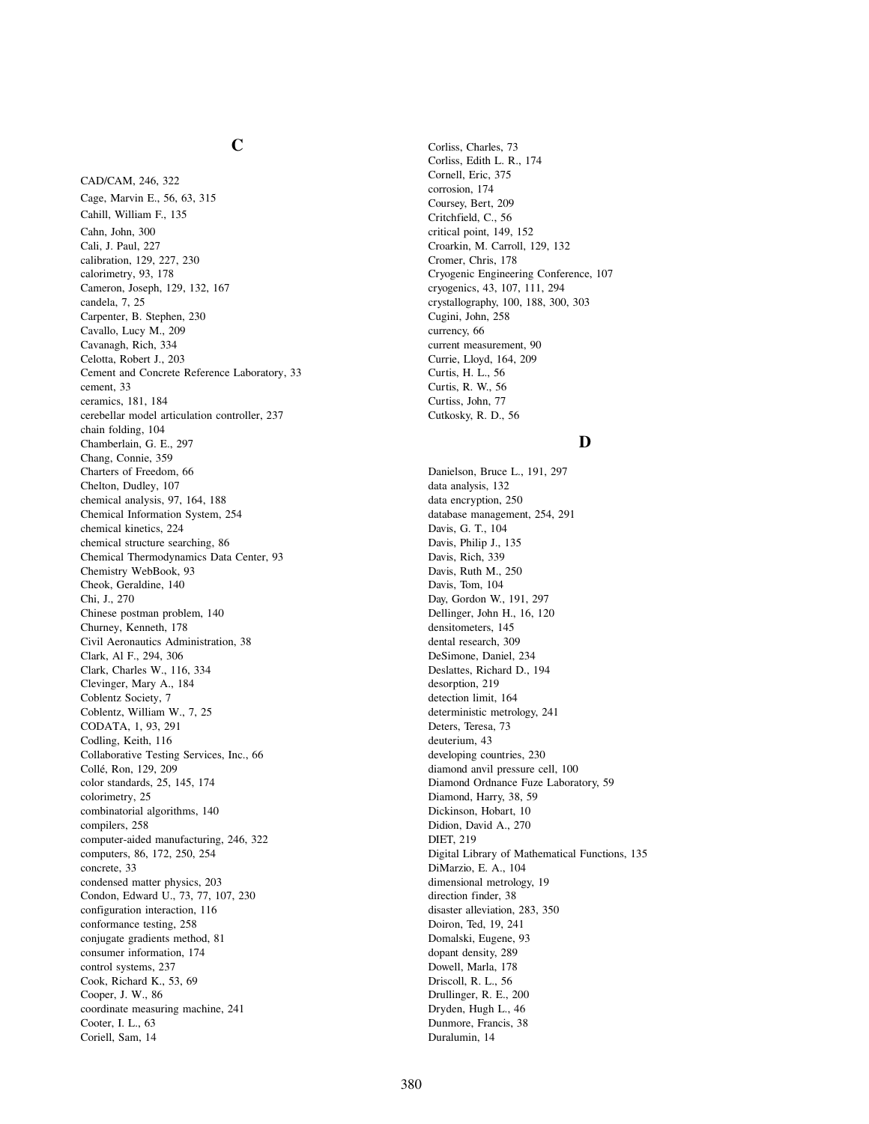# **C**

CAD/CAM, 246, 322 Cage, Marvin E., 56, 63, 315 Cahill, William F., 135 Cahn, John, 300 Cali, J. Paul, 227 calibration, 129, 227, 230 calorimetry, 93, 178 Cameron, Joseph, 129, 132, 167 candela, 7, 25 Carpenter, B. Stephen, 230 Cavallo, Lucy M., 209 Cavanagh, Rich, 334 Celotta, Robert J., 203 Cement and Concrete Reference Laboratory, 33 cement, 33 ceramics, 181, 184 cerebellar model articulation controller, 237 chain folding, 104 Chamberlain, G. E., 297 Chang, Connie, 359 Charters of Freedom, 66 Chelton, Dudley, 107 chemical analysis, 97, 164, 188 Chemical Information System, 254 chemical kinetics, 224 chemical structure searching, 86 Chemical Thermodynamics Data Center, 93 Chemistry WebBook, 93 Cheok, Geraldine, 140 Chi, J., 270 Chinese postman problem, 140 Churney, Kenneth, 178 Civil Aeronautics Administration, 38 Clark, Al F., 294, 306 Clark, Charles W., 116, 334 Clevinger, Mary A., 184 Coblentz Society, 7 Coblentz, William W., 7, 25 CODATA, 1, 93, 291 Codling, Keith, 116 Collaborative Testing Services, Inc., 66 Colle´, Ron, 129, 209 color standards, 25, 145, 174 colorimetry, 25 combinatorial algorithms, 140 compilers, 258 computer-aided manufacturing, 246, 322 computers, 86, 172, 250, 254 concrete, 33 condensed matter physics, 203 Condon, Edward U., 73, 77, 107, 230 configuration interaction, 116 conformance testing, 258 conjugate gradients method, 81 consumer information, 174 control systems, 237 Cook, Richard K., 53, 69 Cooper, J. W., 86 coordinate measuring machine, 241 Cooter, I. L., 63 Coriell, Sam, 14

Corliss, Charles, 73 Corliss, Edith L. R., 174 Cornell, Eric, 375 corrosion, 174 Coursey, Bert, 209 Critchfield, C., 56 critical point, 149, 152 Croarkin, M. Carroll, 129, 132 Cromer, Chris, 178 Cryogenic Engineering Conference, 107 cryogenics, 43, 107, 111, 294 crystallography, 100, 188, 300, 303 Cugini, John, 258 currency, 66 current measurement, 90 Currie, Lloyd, 164, 209 Curtis, H. L., 56 Curtis, R. W., 56 Curtiss, John, 77 Cutkosky, R. D., 56

### **D**

Danielson, Bruce L., 191, 297 data analysis, 132 data encryption, 250 database management, 254, 291 Davis, G. T., 104 Davis, Philip J., 135 Davis, Rich, 339 Davis, Ruth M., 250 Davis, Tom, 104 Day, Gordon W., 191, 297 Dellinger, John H., 16, 120 densitometers, 145 dental research, 309 DeSimone, Daniel, 234 Deslattes, Richard D., 194 desorption, 219 detection limit, 164 deterministic metrology, 241 Deters, Teresa, 73 deuterium, 43 developing countries, 230 diamond anvil pressure cell, 100 Diamond Ordnance Fuze Laboratory, 59 Diamond, Harry, 38, 59 Dickinson, Hobart, 10 Didion, David A., 270 DIET, 219 Digital Library of Mathematical Functions, 135 DiMarzio, E. A., 104 dimensional metrology, 19 direction finder, 38 disaster alleviation, 283, 350 Doiron, Ted, 19, 241 Domalski, Eugene, 93 dopant density, 289 Dowell, Marla, 178 Driscoll, R. L., 56 Drullinger, R. E., 200 Dryden, Hugh L., 46 Dunmore, Francis, 38 Duralumin, 14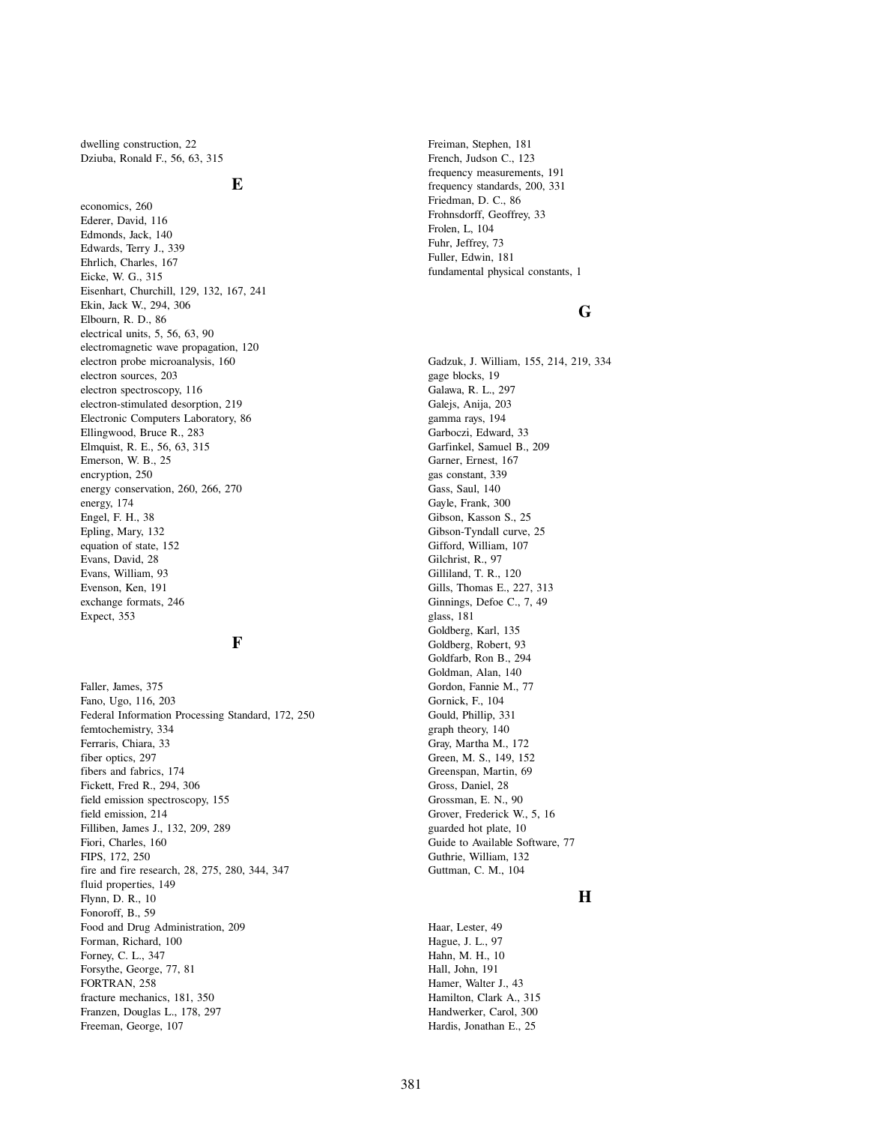dwelling construction, 22 Dziuba, Ronald F., 56, 63, 315

### **E**

economics, 260 Ederer, David, 116 Edmonds, Jack, 140 Edwards, Terry J., 339 Ehrlich, Charles, 167 Eicke, W. G., 315 Eisenhart, Churchill, 129, 132, 167, 241 Ekin, Jack W., 294, 306 Elbourn, R. D., 86 electrical units, 5, 56, 63, 90 electromagnetic wave propagation, 120 electron probe microanalysis, 160 electron sources, 203 electron spectroscopy, 116 electron-stimulated desorption, 219 Electronic Computers Laboratory, 86 Ellingwood, Bruce R., 283 Elmquist, R. E., 56, 63, 315 Emerson, W. B., 25 encryption, 250 energy conservation, 260, 266, 270 energy, 174 Engel, F. H., 38 Epling, Mary, 132 equation of state, 152 Evans, David, 28 Evans, William, 93 Evenson, Ken, 191 exchange formats, 246 Expect, 353

### **F**

Faller, James, 375 Fano, Ugo, 116, 203 Federal Information Processing Standard, 172, 250 femtochemistry, 334 Ferraris, Chiara, 33 fiber optics, 297 fibers and fabrics, 174 Fickett, Fred R., 294, 306 field emission spectroscopy, 155 field emission, 214 Filliben, James J., 132, 209, 289 Fiori, Charles, 160 FIPS, 172, 250 fire and fire research, 28, 275, 280, 344, 347 fluid properties, 149 Flynn, D. R., 10 Fonoroff, B., 59 Food and Drug Administration, 209 Forman, Richard, 100 Forney, C. L., 347 Forsythe, George, 77, 81 FORTRAN, 258 fracture mechanics, 181, 350 Franzen, Douglas L., 178, 297 Freeman, George, 107

Freiman, Stephen, 181 French, Judson C., 123 frequency measurements, 191 frequency standards, 200, 331 Friedman, D. C., 86 Frohnsdorff, Geoffrey, 33 Frolen, L, 104 Fuhr, Jeffrey, 73 Fuller, Edwin, 181 fundamental physical constants, 1

## **G**

Gadzuk, J. William, 155, 214, 219, 334 gage blocks, 19 Galawa, R. L., 297 Galejs, Anija, 203 gamma rays, 194 Garboczi, Edward, 33 Garfinkel, Samuel B., 209 Garner, Ernest, 167 gas constant, 339 Gass, Saul, 140 Gayle, Frank, 300 Gibson, Kasson S., 25 Gibson-Tyndall curve, 25 Gifford, William, 107 Gilchrist, R., 97 Gilliland, T. R., 120 Gills, Thomas E., 227, 313 Ginnings, Defoe C., 7, 49 glass, 181 Goldberg, Karl, 135 Goldberg, Robert, 93 Goldfarb, Ron B., 294 Goldman, Alan, 140 Gordon, Fannie M., 77 Gornick, F., 104 Gould, Phillip, 331 graph theory, 140 Gray, Martha M., 172 Green, M. S., 149, 152 Greenspan, Martin, 69 Gross, Daniel, 28 Grossman, E. N., 90 Grover, Frederick W., 5, 16 guarded hot plate, 10 Guide to Available Software, 77 Guthrie, William, 132 Guttman, C. M., 104

### **H**

Haar, Lester, 49 Hague, J. L., 97 Hahn, M. H., 10 Hall, John, 191 Hamer, Walter J., 43 Hamilton, Clark A., 315 Handwerker, Carol, 300 Hardis, Jonathan E., 25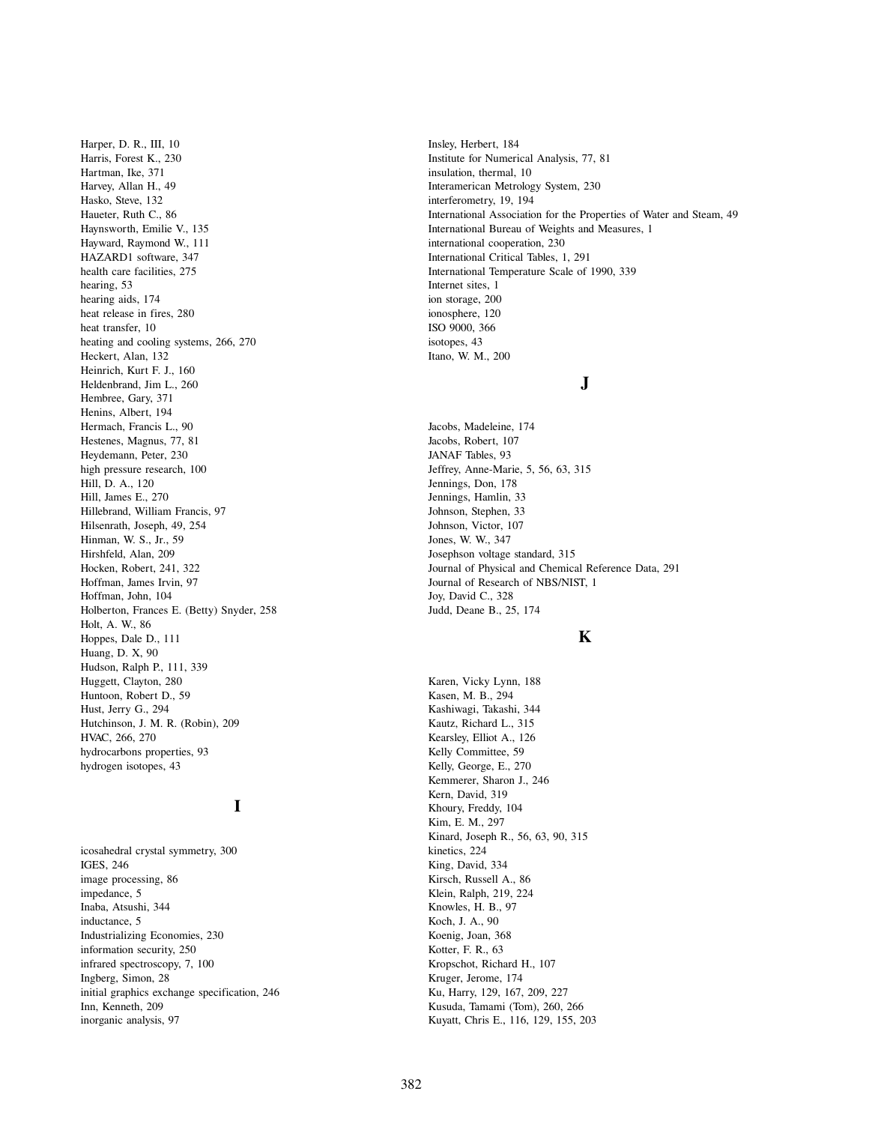Harper, D. R., III, 10 Harris, Forest K., 230 Hartman, Ike, 371 Harvey, Allan H., 49 Hasko, Steve, 132 Haueter, Ruth C., 86 Haynsworth, Emilie V., 135 Hayward, Raymond W., 111 HAZARD1 software, 347 health care facilities, 275 hearing, 53 hearing aids, 174 heat release in fires, 280 heat transfer, 10 heating and cooling systems, 266, 270 Heckert, Alan, 132 Heinrich, Kurt F. J., 160 Heldenbrand, Jim L., 260 Hembree, Gary, 371 Henins, Albert, 194 Hermach, Francis L., 90 Hestenes, Magnus, 77, 81 Heydemann, Peter, 230 high pressure research, 100 Hill, D. A., 120 Hill, James E., 270 Hillebrand, William Francis, 97 Hilsenrath, Joseph, 49, 254 Hinman, W. S., Jr., 59 Hirshfeld, Alan, 209 Hocken, Robert, 241, 322 Hoffman, James Irvin, 97 Hoffman, John, 104 Holberton, Frances E. (Betty) Snyder, 258 Holt, A. W., 86 Hoppes, Dale D., 111 Huang, D. X, 90 Hudson, Ralph P., 111, 339 Huggett, Clayton, 280 Huntoon, Robert D., 59 Hust, Jerry G., 294 Hutchinson, J. M. R. (Robin), 209 HVAC, 266, 270 hydrocarbons properties, 93 hydrogen isotopes, 43

# **I**

icosahedral crystal symmetry, 300 IGES, 246 image processing, 86 impedance, 5 Inaba, Atsushi, 344 inductance, 5 Industrializing Economies, 230 information security, 250 infrared spectroscopy, 7, 100 Ingberg, Simon, 28 initial graphics exchange specification, 246 Inn, Kenneth, 209 inorganic analysis, 97

Insley, Herbert, 184 Institute for Numerical Analysis, 77, 81 insulation, thermal, 10 Interamerican Metrology System, 230 interferometry, 19, 194 International Association for the Properties of Water and Steam, 49 International Bureau of Weights and Measures, 1 international cooperation, 230 International Critical Tables, 1, 291 International Temperature Scale of 1990, 339 Internet sites, 1 ion storage, 200 ionosphere, 120 ISO 9000, 366 isotopes, 43 Itano, W. M., 200

# **J**

Jacobs, Madeleine, 174 Jacobs, Robert, 107 JANAF Tables, 93 Jeffrey, Anne-Marie, 5, 56, 63, 315 Jennings, Don, 178 Jennings, Hamlin, 33 Johnson, Stephen, 33 Johnson, Victor, 107 Jones, W. W., 347 Josephson voltage standard, 315 Journal of Physical and Chemical Reference Data, 291 Journal of Research of NBS/NIST, 1 Joy, David C., 328 Judd, Deane B., 25, 174

## **K**

Karen, Vicky Lynn, 188 Kasen, M. B., 294 Kashiwagi, Takashi, 344 Kautz, Richard L., 315 Kearsley, Elliot A., 126 Kelly Committee, 59 Kelly, George, E., 270 Kemmerer, Sharon J., 246 Kern, David, 319 Khoury, Freddy, 104 Kim, E. M., 297 Kinard, Joseph R., 56, 63, 90, 315 kinetics, 224 King, David, 334 Kirsch, Russell A., 86 Klein, Ralph, 219, 224 Knowles, H. B., 97 Koch, J. A., 90 Koenig, Joan, 368 Kotter, F. R., 63 Kropschot, Richard H., 107 Kruger, Jerome, 174 Ku, Harry, 129, 167, 209, 227 Kusuda, Tamami (Tom), 260, 266 Kuyatt, Chris E., 116, 129, 155, 203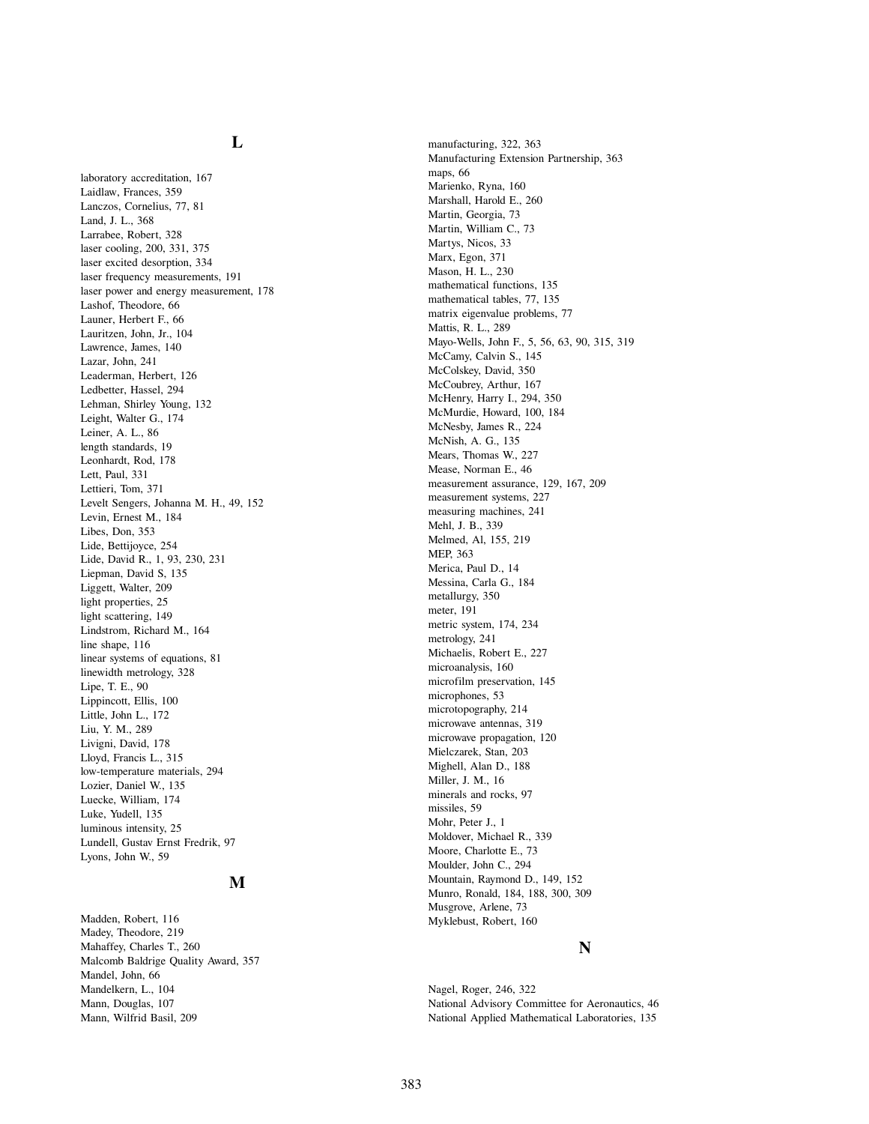# **L**

laboratory accreditation, 167 Laidlaw, Frances, 359 Lanczos, Cornelius, 77, 81 Land, J. L., 368 Larrabee, Robert, 328 laser cooling, 200, 331, 375 laser excited desorption, 334 laser frequency measurements, 191 laser power and energy measurement, 178 Lashof, Theodore, 66 Launer, Herbert F., 66 Lauritzen, John, Jr., 104 Lawrence, James, 140 Lazar, John, 241 Leaderman, Herbert, 126 Ledbetter, Hassel, 294 Lehman, Shirley Young, 132 Leight, Walter G., 174 Leiner, A. L., 86 length standards, 19 Leonhardt, Rod, 178 Lett, Paul, 331 Lettieri, Tom, 371 Levelt Sengers, Johanna M. H., 49, 152 Levin, Ernest M., 184 Libes, Don, 353 Lide, Bettijoyce, 254 Lide, David R., 1, 93, 230, 231 Liepman, David S, 135 Liggett, Walter, 209 light properties, 25 light scattering, 149 Lindstrom, Richard M., 164 line shape, 116 linear systems of equations, 81 linewidth metrology, 328 Lipe, T. E., 90 Lippincott, Ellis, 100 Little, John L., 172 Liu, Y. M., 289 Livigni, David, 178 Lloyd, Francis L., 315 low-temperature materials, 294 Lozier, Daniel W., 135 Luecke, William, 174 Luke, Yudell, 135 luminous intensity, 25 Lundell, Gustav Ernst Fredrik, 97 Lyons, John W., 59

### **M**

Madden, Robert, 116 Madey, Theodore, 219 Mahaffey, Charles T., 260 Malcomb Baldrige Quality Award, 357 Mandel, John, 66 Mandelkern, L., 104 Mann, Douglas, 107 Mann, Wilfrid Basil, 209

manufacturing, 322, 363 Manufacturing Extension Partnership, 363 maps, 66 Marienko, Ryna, 160 Marshall, Harold E., 260 Martin, Georgia, 73 Martin, William C., 73 Martys, Nicos, 33 Marx, Egon, 371 Mason, H. L., 230 mathematical functions, 135 mathematical tables, 77, 135 matrix eigenvalue problems, 77 Mattis, R. L., 289 Mayo-Wells, John F., 5, 56, 63, 90, 315, 319 McCamy, Calvin S., 145 McColskey, David, 350 McCoubrey, Arthur, 167 McHenry, Harry I., 294, 350 McMurdie, Howard, 100, 184 McNesby, James R., 224 McNish, A. G., 135 Mears, Thomas W., 227 Mease, Norman E., 46 measurement assurance, 129, 167, 209 measurement systems, 227 measuring machines, 241 Mehl, J. B., 339 Melmed, Al, 155, 219 MEP, 363 Merica, Paul D., 14 Messina, Carla G., 184 metallurgy, 350 meter, 191 metric system, 174, 234 metrology, 241 Michaelis, Robert E., 227 microanalysis, 160 microfilm preservation, 145 microphones, 53 microtopography, 214 microwave antennas, 319 microwave propagation, 120 Mielczarek, Stan, 203 Mighell, Alan D., 188 Miller, J. M., 16 minerals and rocks, 97 missiles, 59 Mohr, Peter J., 1 Moldover, Michael R., 339 Moore, Charlotte E., 73 Moulder, John C., 294 Mountain, Raymond D., 149, 152 Munro, Ronald, 184, 188, 300, 309 Musgrove, Arlene, 73 Myklebust, Robert, 160

#### **N**

Nagel, Roger, 246, 322 National Advisory Committee for Aeronautics, 46 National Applied Mathematical Laboratories, 135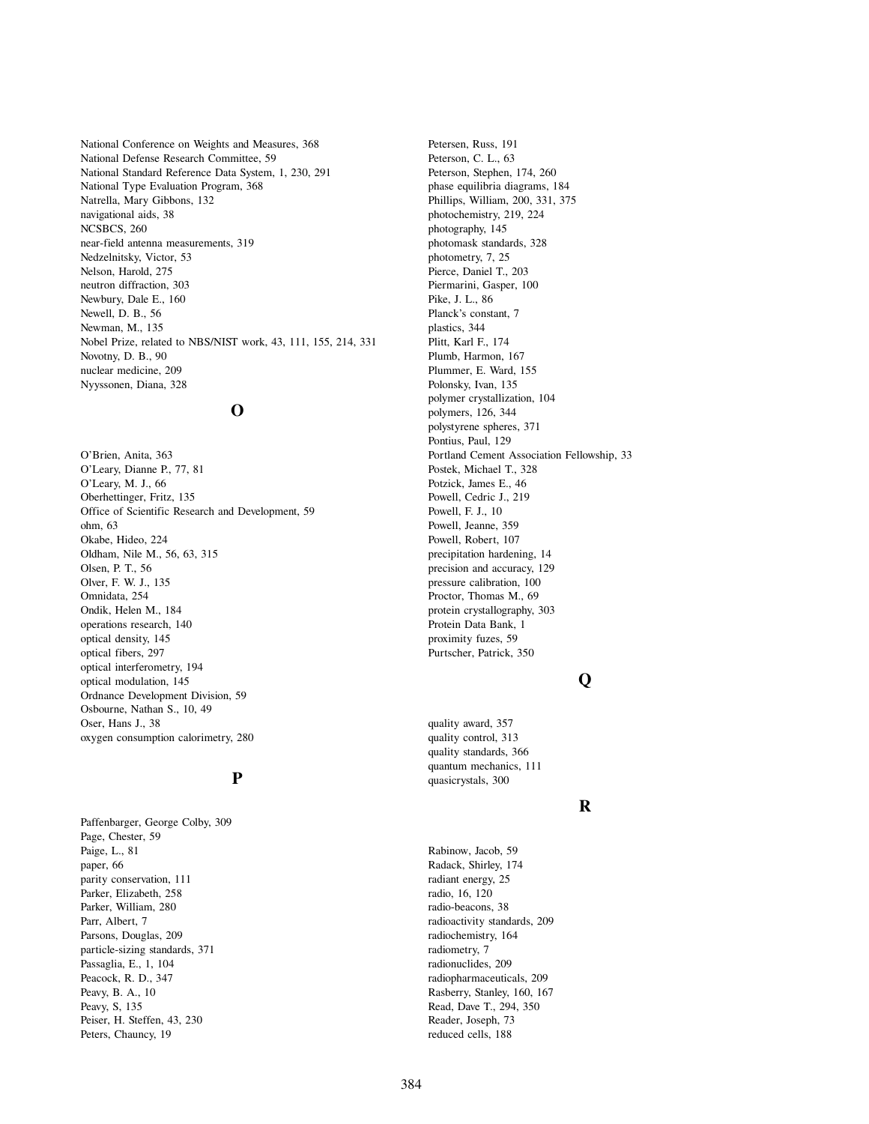National Conference on Weights and Measures, 368 National Defense Research Committee, 59 National Standard Reference Data System, 1, 230, 291 National Type Evaluation Program, 368 Natrella, Mary Gibbons, 132 navigational aids, 38 NCSBCS, 260 near-field antenna measurements, 319 Nedzelnitsky, Victor, 53 Nelson, Harold, 275 neutron diffraction, 303 Newbury, Dale E., 160 Newell, D. B., 56 Newman, M., 135 Nobel Prize, related to NBS/NIST work, 43, 111, 155, 214, 331 Novotny, D. B., 90 nuclear medicine, 209 Nyyssonen, Diana, 328

## **O**

O'Brien, Anita, 363 O'Leary, Dianne P., 77, 81 O'Leary, M. J., 66 Oberhettinger, Fritz, 135 Office of Scientific Research and Development, 59 ohm, 63 Okabe, Hideo, 224 Oldham, Nile M., 56, 63, 315 Olsen, P. T., 56 Olver, F. W. J., 135 Omnidata, 254 Ondik, Helen M., 184 operations research, 140 optical density, 145 optical fibers, 297 optical interferometry, 194 optical modulation, 145 Ordnance Development Division, 59 Osbourne, Nathan S., 10, 49 Oser, Hans J., 38 oxygen consumption calorimetry, 280

### **P**

Paffenbarger, George Colby, 309 Page, Chester, 59 Paige, L., 81 paper, 66 parity conservation, 111 Parker, Elizabeth, 258 Parker, William, 280 Parr, Albert, 7 Parsons, Douglas, 209 particle-sizing standards, 371 Passaglia, E., 1, 104 Peacock, R. D., 347 Peavy, B. A., 10 Peavy, S, 135 Peiser, H. Steffen, 43, 230 Peters, Chauncy, 19

Petersen, Russ, 191 Peterson, C. L., 63 Peterson, Stephen, 174, 260 phase equilibria diagrams, 184 Phillips, William, 200, 331, 375 photochemistry, 219, 224 photography, 145 photomask standards, 328 photometry, 7, 25 Pierce, Daniel T., 203 Piermarini, Gasper, 100 Pike, J. L., 86 Planck's constant, 7 plastics, 344 Plitt, Karl F., 174 Plumb, Harmon, 167 Plummer, E. Ward, 155 Polonsky, Ivan, 135 polymer crystallization, 104 polymers, 126, 344 polystyrene spheres, 371 Pontius, Paul, 129 Portland Cement Association Fellowship, 33 Postek, Michael T., 328 Potzick, James E., 46 Powell, Cedric J., 219 Powell, F. J., 10 Powell, Jeanne, 359 Powell, Robert, 107 precipitation hardening, 14 precision and accuracy, 129 pressure calibration, 100 Proctor, Thomas M., 69 protein crystallography, 303 Protein Data Bank, 1 proximity fuzes, 59 Purtscher, Patrick, 350

# **Q**

quality award, 357 quality control, 313 quality standards, 366 quantum mechanics, 111 quasicrystals, 300

#### **R**

Rabinow, Jacob, 59 Radack, Shirley, 174 radiant energy, 25 radio, 16, 120 radio-beacons, 38 radioactivity standards, 209 radiochemistry, 164 radiometry, 7 radionuclides, 209 radiopharmaceuticals, 209 Rasberry, Stanley, 160, 167 Read, Dave T., 294, 350 Reader, Joseph, 73 reduced cells, 188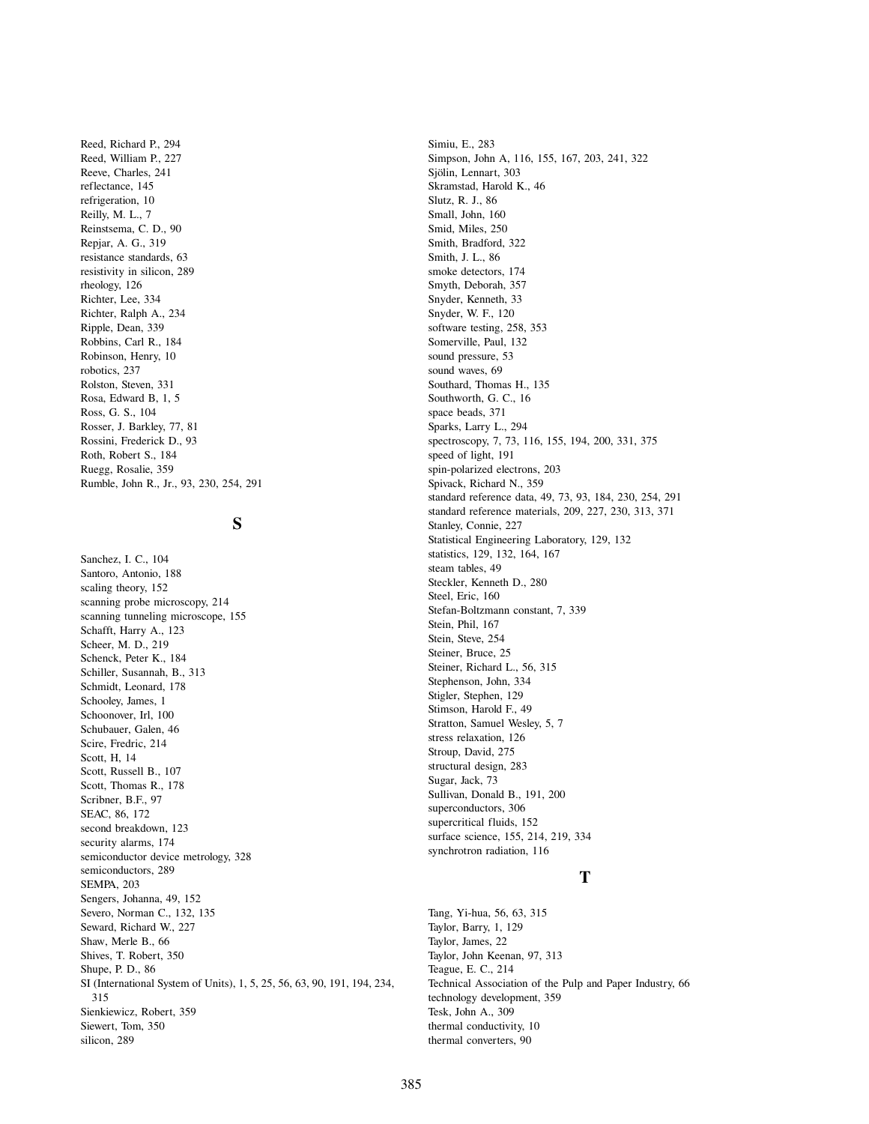Reed, Richard P., 294 Reed, William P., 227 Reeve, Charles, 241 reflectance, 145 refrigeration, 10 Reilly, M. L., 7 Reinstsema, C. D., 90 Repjar, A. G., 319 resistance standards, 63 resistivity in silicon, 289 rheology, 126 Richter, Lee, 334 Richter, Ralph A., 234 Ripple, Dean, 339 Robbins, Carl R., 184 Robinson, Henry, 10 robotics, 237 Rolston, Steven, 331 Rosa, Edward B, 1, 5 Ross, G. S., 104 Rosser, J. Barkley, 77, 81 Rossini, Frederick D., 93 Roth, Robert S., 184 Ruegg, Rosalie, 359 Rumble, John R., Jr., 93, 230, 254, 291

# **S**

Sanchez, I. C., 104 Santoro, Antonio, 188 scaling theory, 152 scanning probe microscopy, 214 scanning tunneling microscope, 155 Schafft, Harry A., 123 Scheer, M. D., 219 Schenck, Peter K., 184 Schiller, Susannah, B., 313 Schmidt, Leonard, 178 Schooley, James, 1 Schoonover, Irl, 100 Schubauer, Galen, 46 Scire, Fredric, 214 Scott, H, 14 Scott, Russell B., 107 Scott, Thomas R., 178 Scribner, B.F., 97 SEAC, 86, 172 second breakdown, 123 security alarms, 174 semiconductor device metrology, 328 semiconductors, 289 SEMPA, 203 Sengers, Johanna, 49, 152 Severo, Norman C., 132, 135 Seward, Richard W., 227 Shaw, Merle B., 66 Shives, T. Robert, 350 Shupe, P. D., 86 SI (International System of Units), 1, 5, 25, 56, 63, 90, 191, 194, 234, 315 Sienkiewicz, Robert, 359 Siewert, Tom, 350 silicon, 289

Simiu, E., 283 Simpson, John A, 116, 155, 167, 203, 241, 322 Sjölin, Lennart, 303 Skramstad, Harold K., 46 Slutz, R. J., 86 Small, John, 160 Smid, Miles, 250 Smith, Bradford, 322 Smith, J. L., 86 smoke detectors, 174 Smyth, Deborah, 357 Snyder, Kenneth, 33 Snyder, W. F., 120 software testing, 258, 353 Somerville, Paul, 132 sound pressure, 53 sound waves, 69 Southard, Thomas H., 135 Southworth, G. C., 16 space beads, 371 Sparks, Larry L., 294 spectroscopy, 7, 73, 116, 155, 194, 200, 331, 375 speed of light, 191 spin-polarized electrons, 203 Spivack, Richard N., 359 standard reference data, 49, 73, 93, 184, 230, 254, 291 standard reference materials, 209, 227, 230, 313, 371 Stanley, Connie, 227 Statistical Engineering Laboratory, 129, 132 statistics, 129, 132, 164, 167 steam tables, 49 Steckler, Kenneth D., 280 Steel, Eric, 160 Stefan-Boltzmann constant, 7, 339 Stein, Phil, 167 Stein, Steve, 254 Steiner, Bruce, 25 Steiner, Richard L., 56, 315 Stephenson, John, 334 Stigler, Stephen, 129 Stimson, Harold F., 49 Stratton, Samuel Wesley, 5, 7 stress relaxation, 126 Stroup, David, 275 structural design, 283 Sugar, Jack, 73 Sullivan, Donald B., 191, 200 superconductors, 306 supercritical fluids, 152 surface science, 155, 214, 219, 334 synchrotron radiation, 116

### **T**

Tang, Yi-hua, 56, 63, 315 Taylor, Barry, 1, 129 Taylor, James, 22 Taylor, John Keenan, 97, 313 Teague, E. C., 214 Technical Association of the Pulp and Paper Industry, 66 technology development, 359 Tesk, John A., 309 thermal conductivity, 10 thermal converters, 90